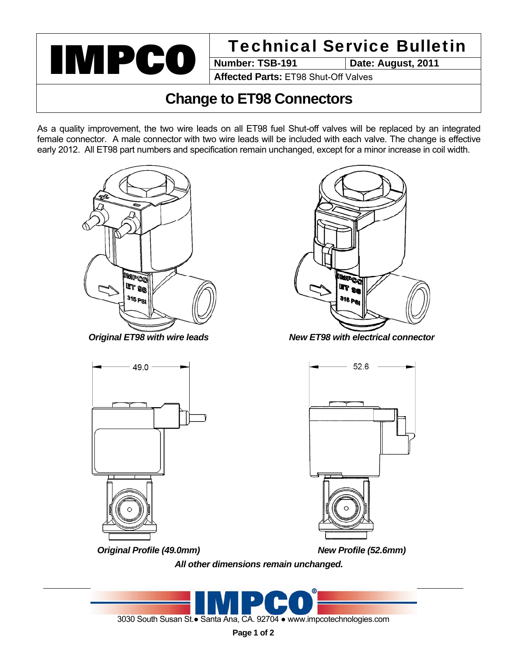

**Date: August, 2011** 

**Affected Parts:** ET98 Shut-Off Valves

## **Change to ET98 Connectors**

As a quality improvement, the two wire leads on all ET98 fuel Shut-off valves will be replaced by an integrated female connector. A male connector with two wire leads will be included with each valve. The change is effective early 2012. All ET98 part numbers and specification remain unchanged, except for a minor increase in coil width.





*Original ET98 with wire leads New ET98 with electrical connector*



52.6

*Original Profile (49.0mm) New Profile (52.6mm)* 

*All other dimensions remain unchanged.*